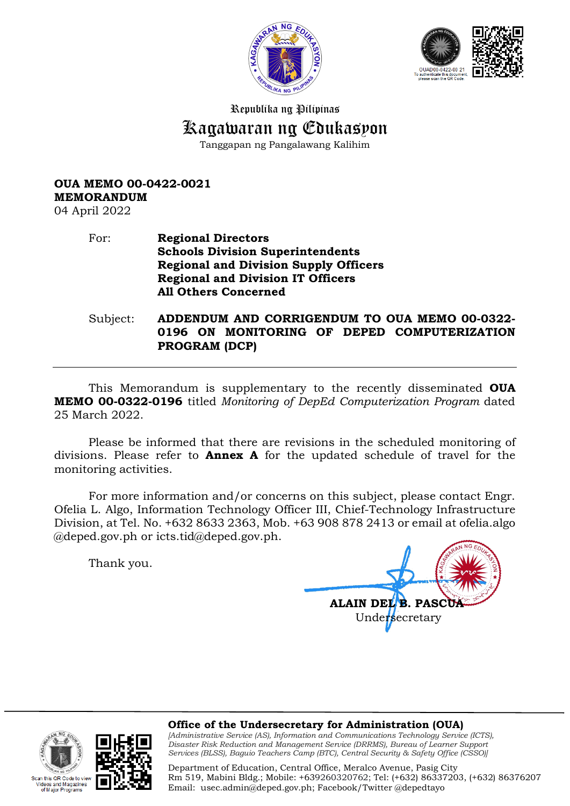



Republika ng Pilipinas

## Kagawaran ng Edukasyon

Tanggapan ng Pangalawang Kalihim

## **OUA MEMO 00-0422-0021 MEMORANDUM**

04 April 2022

## For: **Regional Directors Schools Division Superintendents Regional and Division Supply Officers Regional and Division IT Officers All Others Concerned**

Subject: **ADDENDUM AND CORRIGENDUM TO OUA MEMO 00-0322- 0196 ON MONITORING OF DEPED COMPUTERIZATION PROGRAM (DCP)**

This Memorandum is supplementary to the recently disseminated **OUA MEMO 00-0322-0196** titled *Monitoring of DepEd Computerization Program* dated 25 March 2022.

Please be informed that there are revisions in the scheduled monitoring of divisions. Please refer to **Annex A** for the updated schedule of travel for the monitoring activities.

For more information and/or concerns on this subject, please contact Engr. Ofelia L. Algo, Information Technology Officer III, Chief-Technology Infrastructure Division, at Tel. No. +632 8633 2363, Mob. +63 908 878 2413 or email at ofelia.algo @deped.gov.ph or icts.tid@deped.gov.ph.

Thank you.

Code to vi lagazines Major Programs

**ALAIN DEL B. PASCUA** Undersecretary

**Office of the Undersecretary for Administration (OUA)** *[Administrative Service (AS), Information and Communications Technology Service (ICTS), Disaster Risk Reduction and Management Service (DRRMS), Bureau of Learner Support* 

*Services (BLSS), Baguio Teachers Camp (BTC), Central Security & Safety Office (CSSO)]*

Department of Education, Central Office, Meralco Avenue, Pasig City Rm 519, Mabini Bldg.; Mobile: +639260320762; Tel: (+632) 86337203, (+632) 86376207 Email: [usec.admin@deped.gov.ph;](mailto:usec.admin@deped.gov.ph) Facebook/Twitter @depedtayo